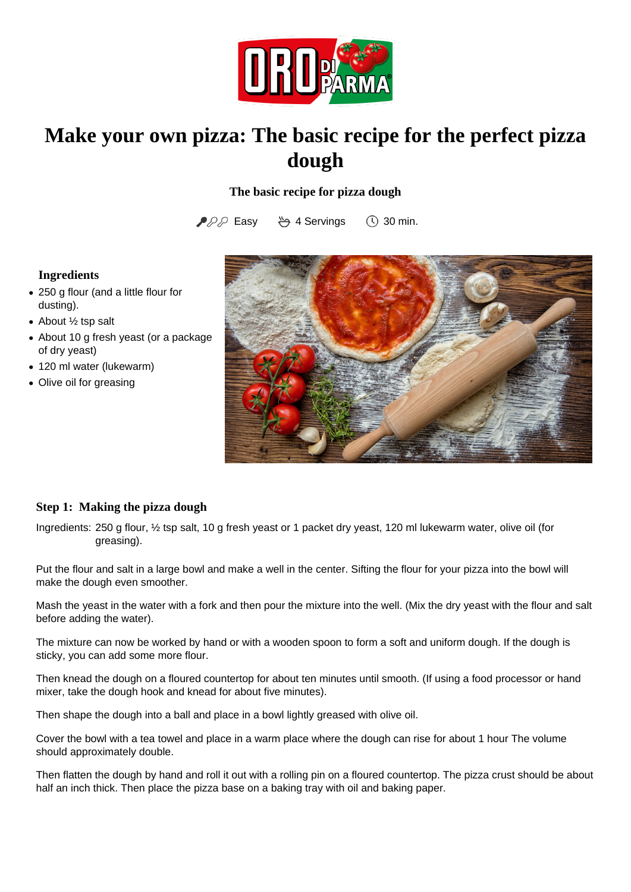

# **Make your own pizza: The basic recipe for the perfect pizza dough**

## **The basic recipe for pizza dough**

▶ PD Easy ♦ 4 Servings ① 30 min.

## **Ingredients**

- 250 g flour (and a little flour for dusting).
- About 1/2 tsp salt
- About 10 g fresh yeast (or a package of dry yeast)
- 120 ml water (lukewarm)
- Olive oil for greasing



#### **Step 1: Making the pizza dough**

Ingredients: 250 g flour, 1/2 tsp salt, 10 g fresh yeast or 1 packet dry yeast, 120 ml lukewarm water, olive oil (for greasing).

Put the flour and salt in a large bowl and make a well in the center. Sifting the flour for your pizza into the bowl will make the dough even smoother.

Mash the yeast in the water with a fork and then pour the mixture into the well. (Mix the dry yeast with the flour and salt before adding the water).

The mixture can now be worked by hand or with a wooden spoon to form a soft and uniform dough. If the dough is sticky, you can add some more flour.

Then knead the dough on a floured countertop for about ten minutes until smooth. (If using a food processor or hand mixer, take the dough hook and knead for about five minutes).

Then shape the dough into a ball and place in a bowl lightly greased with olive oil.

Cover the bowl with a tea towel and place in a warm place where the dough can rise for about 1 hour The volume should approximately double.

Then flatten the dough by hand and roll it out with a rolling pin on a floured countertop. The pizza crust should be about half an inch thick. Then place the pizza base on a baking tray with oil and baking paper.